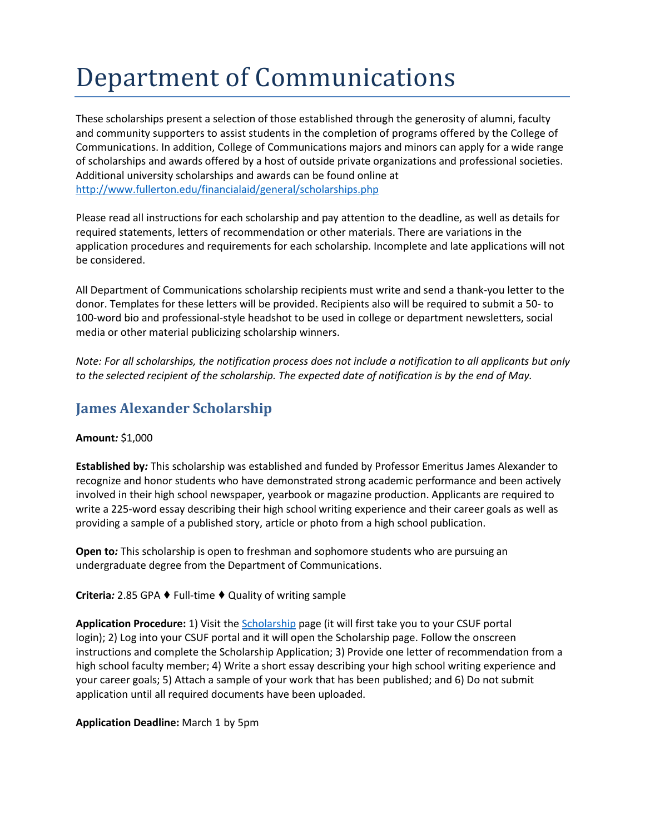# Department of Communications

These scholarships present a selection of those established through the generosity of alumni, faculty and community supporters to assist students in the completion of programs offered by the College of Communications. In addition, College of Communications majors and minors can apply for a wide range of scholarships and awards offered by a host of outside private organizations and professional societies. Additional university scholarships and awards can be found online at <http://www.fullerton.edu/financialaid/general/scholarships.php>

Please read all instructions for each scholarship and pay attention to the deadline, as well as details for required statements, letters of recommendation or other materials. There are variations in the application procedures and requirements for each scholarship. Incomplete and late applications will not be considered.

All Department of Communications scholarship recipients must write and send a thank-you letter to the donor. Templates for these letters will be provided. Recipients also will be required to submit a 50- to 100-word bio and professional-style headshot to be used in college or department newsletters, social media or other material publicizing scholarship winners.

*Note: For all scholarships, the notification process does not include a notification to all applicants but only to the selected recipient of the scholarship. The expected date of notification is by the end of May.*

## **James Alexander Scholarship**

## **Amount***:* \$1,000

**Established by***:* This scholarship was established and funded by Professor Emeritus James Alexander to recognize and honor students who have demonstrated strong academic performance and been actively involved in their high school newspaper, yearbook or magazine production. Applicants are required to write a 225-word essay describing their high school writing experience and their career goals as well as providing a sample of a published story, article or photo from a high school publication.

**Open to***:* This scholarship is open to freshman and sophomore students who are pursuing an undergraduate degree from the Department of Communications.

## **Criteria***:* 2.85 GPA ♦ Full-time ♦ Quality of writing sample

**Application Procedure:** 1) Visit th[e Scholarship](https://my.fullerton.edu/Portal/Scholarships/) page (it will first take you to your CSUF portal login); 2) Log into your CSUF portal and it will open the Scholarship page. Follow the onscreen instructions and complete the Scholarship Application; 3) Provide one letter of recommendation from a high school faculty member; 4) Write a short essay describing your high school writing experience and your career goals; 5) Attach a sample of your work that has been published; and 6) Do not submit application until all required documents have been uploaded.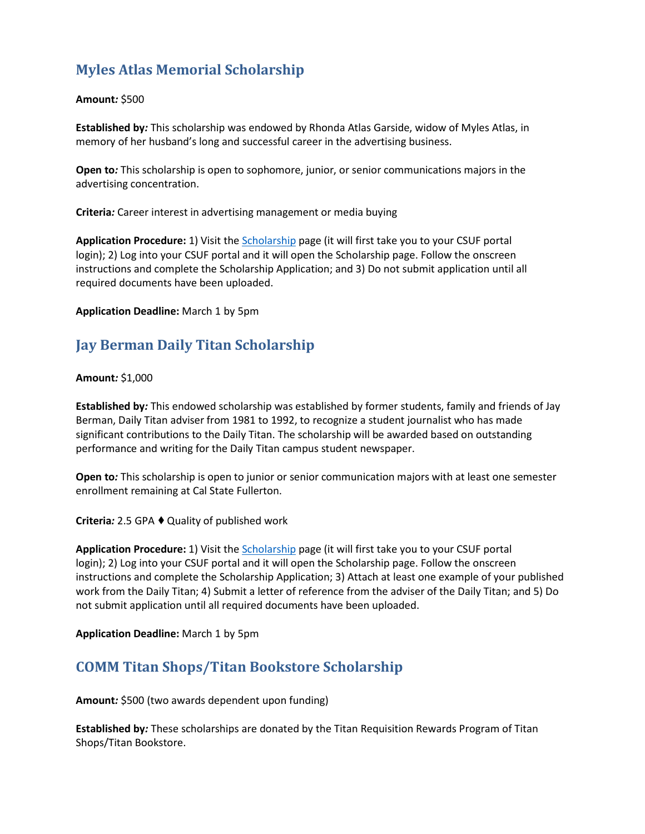# **Myles Atlas Memorial Scholarship**

## **Amount***:* \$500

**Established by***:* This scholarship was endowed by Rhonda Atlas Garside, widow of Myles Atlas, in memory of her husband's long and successful career in the advertising business.

**Open to***:* This scholarship is open to sophomore, junior, or senior communications majors in the advertising concentration.

**Criteria***:* Career interest in advertising management or media buying

**Application Procedure:** 1) Visit th[e Scholarship](https://my.fullerton.edu/Portal/Scholarships/) page (it will first take you to your CSUF portal login); 2) Log into your CSUF portal and it will open the Scholarship page. Follow the onscreen instructions and complete the Scholarship Application; and 3) Do not submit application until all required documents have been uploaded.

**Application Deadline:** March 1 by 5pm

# **Jay Berman Daily Titan Scholarship**

## **Amount***:* \$1,000

**Established by***:* This endowed scholarship was established by former students, family and friends of Jay Berman, Daily Titan adviser from 1981 to 1992, to recognize a student journalist who has made significant contributions to the Daily Titan. The scholarship will be awarded based on outstanding performance and writing for the Daily Titan campus student newspaper.

**Open to***:* This scholarship is open to junior or senior communication majors with at least one semester enrollment remaining at Cal State Fullerton.

**Criteria**: 2.5 GPA ♦ Quality of published work

**Application Procedure:** 1) Visit th[e Scholarship](https://my.fullerton.edu/Portal/Scholarships/) page (it will first take you to your CSUF portal login); 2) Log into your CSUF portal and it will open the Scholarship page. Follow the onscreen instructions and complete the Scholarship Application; 3) Attach at least one example of your published work from the Daily Titan; 4) Submit a letter of reference from the adviser of the Daily Titan; and 5) Do not submit application until all required documents have been uploaded.

**Application Deadline:** March 1 by 5pm

# **COMM Titan Shops/Titan Bookstore Scholarship**

**Amount***:* \$500 (two awards dependent upon funding)

**Established by***:* These scholarships are donated by the Titan Requisition Rewards Program of Titan Shops/Titan Bookstore.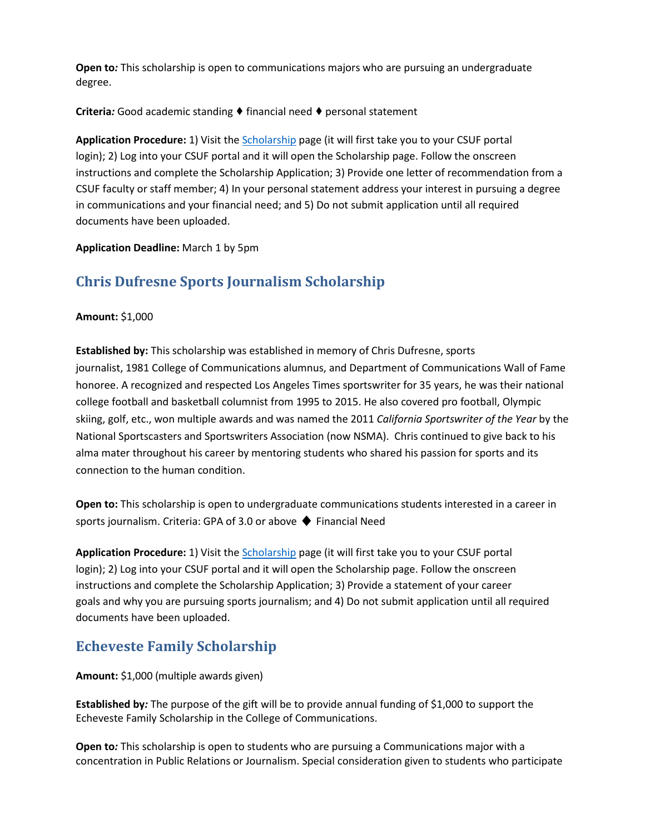**Open to***:* This scholarship is open to communications majors who are pursuing an undergraduate degree.

## **Criteria***:* Good academic standing ♦ financial need ♦ personal statement

**Application Procedure:** 1) Visit the [Scholarship](https://my.fullerton.edu/Portal/Scholarships/) page (it will first take you to your CSUF portal login); 2) Log into your CSUF portal and it will open the Scholarship page. Follow the onscreen instructions and complete the Scholarship Application; 3) Provide one letter of recommendation from a CSUF faculty or staff member; 4) In your personal statement address your interest in pursuing a degree in communications and your financial need; and 5) Do not submit application until all required documents have been uploaded.

## **Application Deadline:** March 1 by 5pm

# **Chris Dufresne Sports Journalism Scholarship**

## **Amount:** \$1,000

**Established by:** This scholarship was established in memory of Chris Dufresne, sports journalist, 1981 College of Communications alumnus, and Department of Communications Wall of Fame honoree. A recognized and respected Los Angeles Times sportswriter for 35 years, he was their national college football and basketball columnist from 1995 to 2015. He also covered pro football, Olympic skiing, golf, etc., won multiple awards and was named the 2011 *California Sportswriter of the Year* by the National Sportscasters and Sportswriters Association (now NSMA). Chris continued to give back to his alma mater throughout his career by mentoring students who shared his passion for sports and its connection to the human condition.

**Open to:** This scholarship is open to undergraduate communications students interested in a career in sports journalism. Criteria: GPA of 3.0 or above ♦ Financial Need

**Application Procedure:** 1) Visit the [Scholarship](https://my.fullerton.edu/Portal/Scholarships/) page (it will first take you to your CSUF portal login); 2) Log into your CSUF portal and it will open the Scholarship page. Follow the onscreen instructions and complete the Scholarship Application; 3) Provide a statement of your career goals and why you are pursuing sports journalism; and 4) Do not submit application until all required documents have been uploaded.

## **Echeveste Family Scholarship**

**Amount:** \$1,000 (multiple awards given)

**Established by***:* The purpose of the gift will be to provide annual funding of \$1,000 to support the Echeveste Family Scholarship in the College of Communications.

**Open to***:* This scholarship is open to students who are pursuing a Communications major with a concentration in Public Relations or Journalism. Special consideration given to students who participate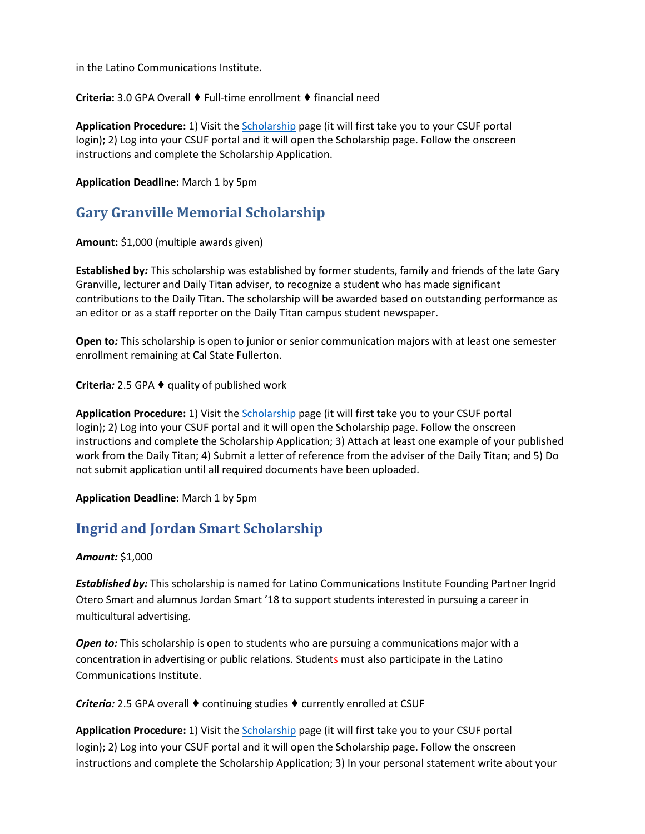in the Latino Communications Institute.

**Criteria:** 3.0 GPA Overall ♦ Full-time enrollment ♦ financial need

**Application Procedure:** 1) Visit th[e Scholarship](https://my.fullerton.edu/Portal/Scholarships/) page (it will first take you to your CSUF portal login); 2) Log into your CSUF portal and it will open the Scholarship page. Follow the onscreen instructions and complete the Scholarship Application.

#### **Application Deadline:** March 1 by 5pm

## **Gary Granville Memorial Scholarship**

**Amount:** \$1,000 (multiple awards given)

**Established by***:* This scholarship was established by former students, family and friends of the late Gary Granville, lecturer and Daily Titan adviser, to recognize a student who has made significant contributions to the Daily Titan. The scholarship will be awarded based on outstanding performance as an editor or as a staff reporter on the Daily Titan campus student newspaper.

**Open to***:* This scholarship is open to junior or senior communication majors with at least one semester enrollment remaining at Cal State Fullerton.

**Criteria***:* 2.5 GPA ♦ quality of published work

**Application Procedure:** 1) Visit th[e Scholarship](https://my.fullerton.edu/Portal/Scholarships/) page (it will first take you to your CSUF portal login); 2) Log into your CSUF portal and it will open the Scholarship page. Follow the onscreen instructions and complete the Scholarship Application; 3) Attach at least one example of your published work from the Daily Titan; 4) Submit a letter of reference from the adviser of the Daily Titan; and 5) Do not submit application until all required documents have been uploaded.

**Application Deadline:** March 1 by 5pm

# **Ingrid and Jordan Smart Scholarship**

#### *Amount:* \$1,000

*Established by:* This scholarship is named for Latino Communications Institute Founding Partner Ingrid Otero Smart and alumnus Jordan Smart '18 to support students interested in pursuing a career in multicultural advertising.

**Open to:** This scholarship is open to students who are pursuing a communications major with a concentration in advertising or public relations. Students must also participate in the Latino Communications Institute.

*Criteria:* 2.5 GPA overall ♦ continuing studies ♦ currently enrolled at CSUF

**Application Procedure:** 1) Visit th[e Scholarship](https://my.fullerton.edu/Portal/Scholarships/) page (it will first take you to your CSUF portal login); 2) Log into your CSUF portal and it will open the Scholarship page. Follow the onscreen instructions and complete the Scholarship Application; 3) In your personal statement write about your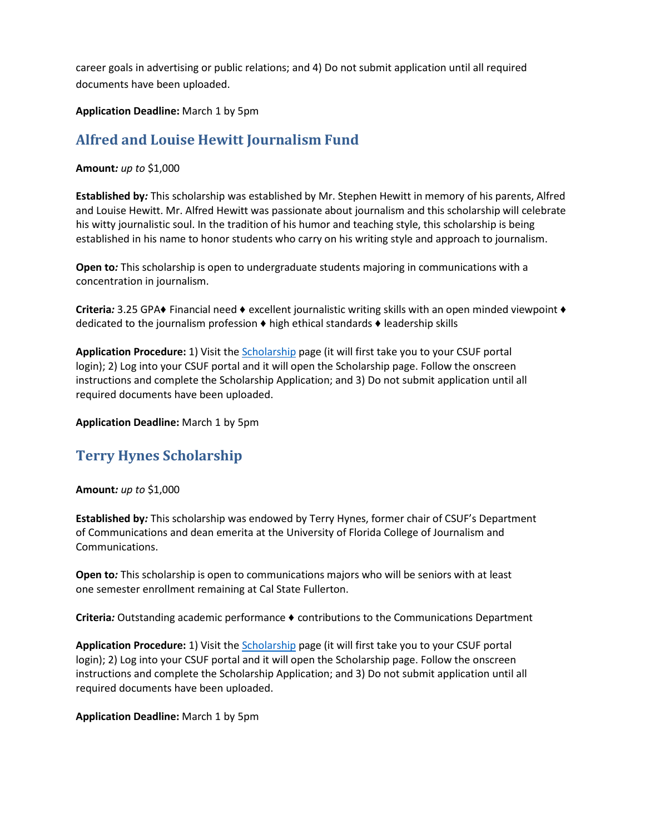career goals in advertising or public relations; and 4) Do not submit application until all required documents have been uploaded.

**Application Deadline:** March 1 by 5pm

# **Alfred and Louise Hewitt Journalism Fund**

## **Amount***: up to* \$1,000

**Established by***:* This scholarship was established by Mr. Stephen Hewitt in memory of his parents, Alfred and Louise Hewitt. Mr. Alfred Hewitt was passionate about journalism and this scholarship will celebrate his witty journalistic soul. In the tradition of his humor and teaching style, this scholarship is being established in his name to honor students who carry on his writing style and approach to journalism.

**Open to***:* This scholarship is open to undergraduate students majoring in communications with a concentration in journalism.

**Criteria***:* 3.25 GPA♦ Financial need ♦ excellent journalistic writing skills with an open minded viewpoint ♦ dedicated to the journalism profession ♦ high ethical standards ♦ leadership skills

**Application Procedure:** 1) Visit th[e Scholarship](https://my.fullerton.edu/Portal/Scholarships/) page (it will first take you to your CSUF portal login); 2) Log into your CSUF portal and it will open the Scholarship page. Follow the onscreen instructions and complete the Scholarship Application; and 3) Do not submit application until all required documents have been uploaded.

**Application Deadline:** March 1 by 5pm

# **Terry Hynes Scholarship**

## **Amount***: up to* \$1,000

**Established by***:* This scholarship was endowed by Terry Hynes, former chair of CSUF's Department of Communications and dean emerita at the University of Florida College of Journalism and Communications.

**Open to***:* This scholarship is open to communications majors who will be seniors with at least one semester enrollment remaining at Cal State Fullerton.

**Criteria***:* Outstanding academic performance ♦ contributions to the Communications Department

**Application Procedure:** 1) Visit th[e Scholarship](https://my.fullerton.edu/Portal/Scholarships/) page (it will first take you to your CSUF portal login); 2) Log into your CSUF portal and it will open the Scholarship page. Follow the onscreen instructions and complete the Scholarship Application; and 3) Do not submit application until all required documents have been uploaded.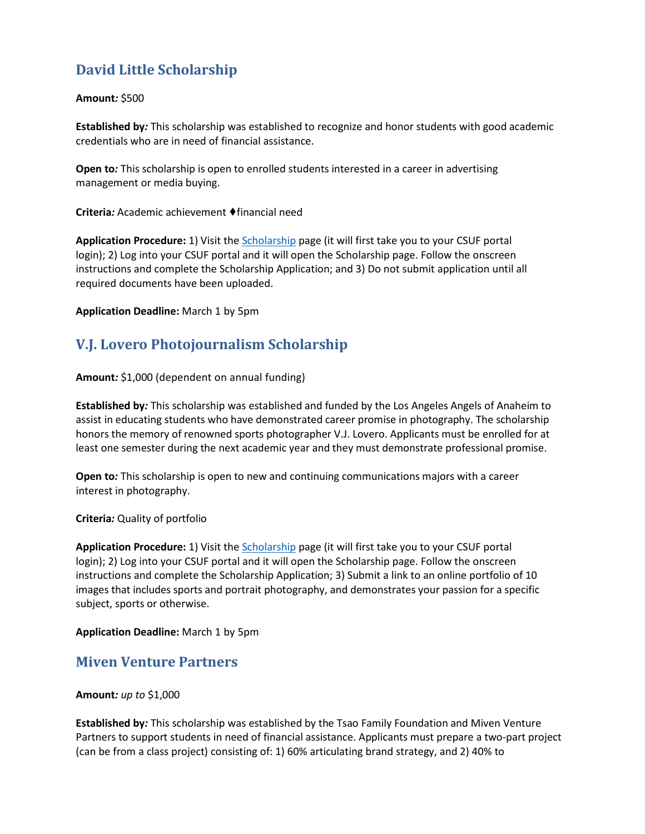# **David Little Scholarship**

## **Amount***:* \$500

**Established by***:* This scholarship was established to recognize and honor students with good academic credentials who are in need of financial assistance.

**Open to***:* This scholarship is open to enrolled students interested in a career in advertising management or media buying.

**Criteria***:* Academic achievement ♦financial need

**Application Procedure:** 1) Visit th[e Scholarship](https://my.fullerton.edu/Portal/Scholarships/) page (it will first take you to your CSUF portal login); 2) Log into your CSUF portal and it will open the Scholarship page. Follow the onscreen instructions and complete the Scholarship Application; and 3) Do not submit application until all required documents have been uploaded.

**Application Deadline:** March 1 by 5pm

# **V.J. Lovero Photojournalism Scholarship**

## **Amount***:* \$1,000 (dependent on annual funding)

**Established by***:* This scholarship was established and funded by the Los Angeles Angels of Anaheim to assist in educating students who have demonstrated career promise in photography. The scholarship honors the memory of renowned sports photographer V.J. Lovero. Applicants must be enrolled for at least one semester during the next academic year and they must demonstrate professional promise.

**Open to***:* This scholarship is open to new and continuing communications majors with a career interest in photography.

**Criteria***:* Quality of portfolio

**Application Procedure:** 1) Visit th[e Scholarship](https://my.fullerton.edu/Portal/Scholarships/) page (it will first take you to your CSUF portal login); 2) Log into your CSUF portal and it will open the Scholarship page. Follow the onscreen instructions and complete the Scholarship Application; 3) Submit a link to an online portfolio of 10 images that includes sports and portrait photography, and demonstrates your passion for a specific subject, sports or otherwise.

**Application Deadline:** March 1 by 5pm

## **Miven Venture Partners**

## **Amount***: up to* \$1,000

**Established by***:* This scholarship was established by the Tsao Family Foundation and Miven Venture Partners to support students in need of financial assistance. Applicants must prepare a two-part project (can be from a class project) consisting of: 1) 60% articulating brand strategy, and 2) 40% to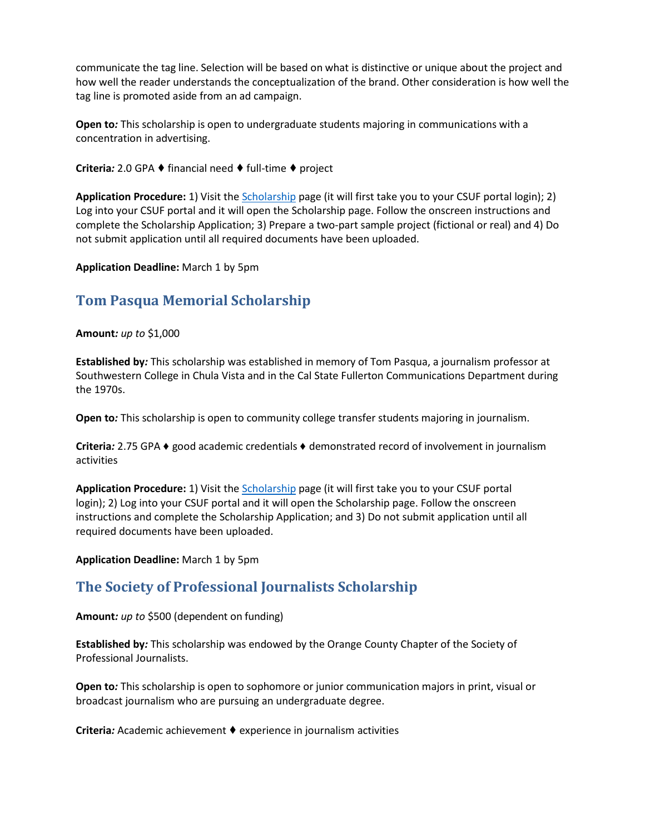communicate the tag line. Selection will be based on what is distinctive or unique about the project and how well the reader understands the conceptualization of the brand. Other consideration is how well the tag line is promoted aside from an ad campaign.

**Open to***:* This scholarship is open to undergraduate students majoring in communications with a concentration in advertising.

**Criteria***:* 2.0 GPA ♦ financial need ♦ full-time ♦ project

**Application Procedure:** 1) Visit th[e Scholarship](https://my.fullerton.edu/Portal/Scholarships/) page (it will first take you to your CSUF portal login); 2) Log into your CSUF portal and it will open the Scholarship page. Follow the onscreen instructions and complete the Scholarship Application; 3) Prepare a two-part sample project (fictional or real) and 4) Do not submit application until all required documents have been uploaded.

**Application Deadline:** March 1 by 5pm

## **Tom Pasqua Memorial Scholarship**

**Amount***: up to* \$1,000

**Established by***:* This scholarship was established in memory of Tom Pasqua, a journalism professor at Southwestern College in Chula Vista and in the Cal State Fullerton Communications Department during the 1970s.

**Open to***:* This scholarship is open to community college transfer students majoring in journalism.

**Criteria***:* 2.75 GPA ♦ good academic credentials ♦ demonstrated record of involvement in journalism activities

**Application Procedure:** 1) Visit th[e Scholarship](https://my.fullerton.edu/Portal/Scholarships/) page (it will first take you to your CSUF portal login); 2) Log into your CSUF portal and it will open the Scholarship page. Follow the onscreen instructions and complete the Scholarship Application; and 3) Do not submit application until all required documents have been uploaded.

**Application Deadline:** March 1 by 5pm

## **The Society of Professional Journalists Scholarship**

**Amount***: up to* \$500 (dependent on funding)

**Established by***:* This scholarship was endowed by the Orange County Chapter of the Society of Professional Journalists.

**Open to***:* This scholarship is open to sophomore or junior communication majors in print, visual or broadcast journalism who are pursuing an undergraduate degree.

**Criteria***:* Academic achievement ♦ experience in journalism activities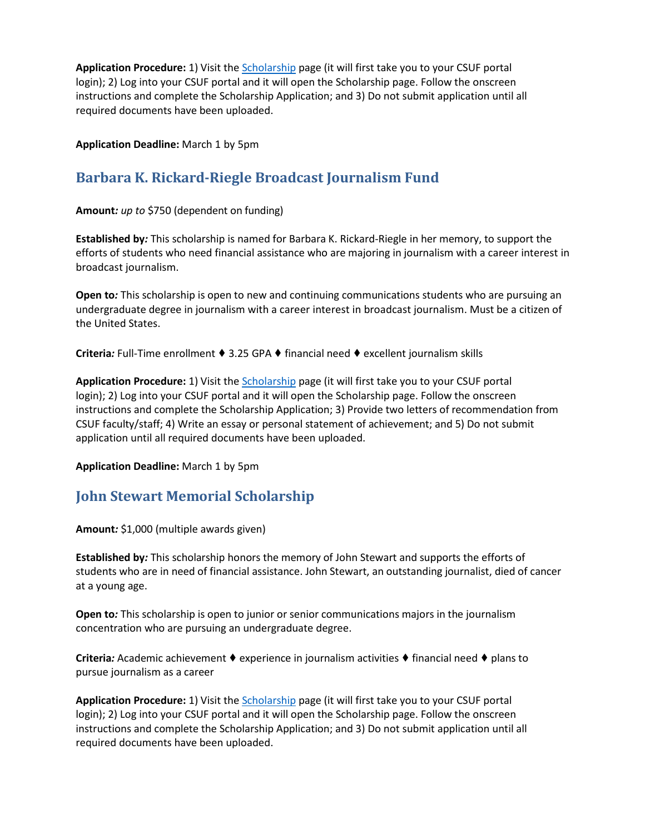**Application Procedure:** 1) Visit th[e Scholarship](https://my.fullerton.edu/Portal/Scholarships/) page (it will first take you to your CSUF portal login); 2) Log into your CSUF portal and it will open the Scholarship page. Follow the onscreen instructions and complete the Scholarship Application; and 3) Do not submit application until all required documents have been uploaded.

**Application Deadline:** March 1 by 5pm

# **Barbara K. Rickard-Riegle Broadcast Journalism Fund**

**Amount***: up to* \$750 (dependent on funding)

**Established by***:* This scholarship is named for Barbara K. Rickard-Riegle in her memory, to support the efforts of students who need financial assistance who are majoring in journalism with a career interest in broadcast journalism.

**Open to***:* This scholarship is open to new and continuing communications students who are pursuing an undergraduate degree in journalism with a career interest in broadcast journalism. Must be a citizen of the United States.

**Criteria***:* Full-Time enrollment ♦ 3.25 GPA ♦ financial need ♦ excellent journalism skills

**Application Procedure:** 1) Visit th[e Scholarship](https://my.fullerton.edu/Portal/Scholarships/) page (it will first take you to your CSUF portal login); 2) Log into your CSUF portal and it will open the Scholarship page. Follow the onscreen instructions and complete the Scholarship Application; 3) Provide two letters of recommendation from CSUF faculty/staff; 4) Write an essay or personal statement of achievement; and 5) Do not submit application until all required documents have been uploaded.

**Application Deadline:** March 1 by 5pm

# **John Stewart Memorial Scholarship**

**Amount***:* \$1,000 (multiple awards given)

**Established by***:* This scholarship honors the memory of John Stewart and supports the efforts of students who are in need of financial assistance. John Stewart, an outstanding journalist, died of cancer at a young age.

**Open to***:* This scholarship is open to junior or senior communications majors in the journalism concentration who are pursuing an undergraduate degree.

**Criteria***:* Academic achievement ♦ experience in journalism activities ♦ financial need ♦ plans to pursue journalism as a career

**Application Procedure:** 1) Visit th[e Scholarship](https://my.fullerton.edu/Portal/Scholarships/) page (it will first take you to your CSUF portal login); 2) Log into your CSUF portal and it will open the Scholarship page. Follow the onscreen instructions and complete the Scholarship Application; and 3) Do not submit application until all required documents have been uploaded.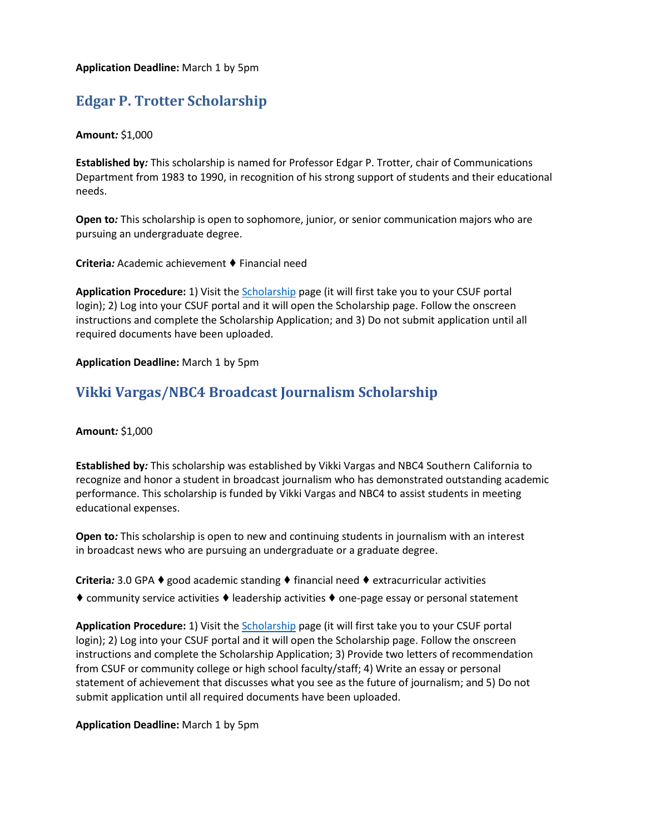**Application Deadline:** March 1 by 5pm

# **Edgar P. Trotter Scholarship**

## **Amount***:* \$1,000

**Established by***:* This scholarship is named for Professor Edgar P. Trotter, chair of Communications Department from 1983 to 1990, in recognition of his strong support of students and their educational needs.

**Open to***:* This scholarship is open to sophomore, junior, or senior communication majors who are pursuing an undergraduate degree.

**Criteria***:* Academic achievement ♦ Financial need

**Application Procedure:** 1) Visit th[e Scholarship](https://my.fullerton.edu/Portal/Scholarships/) page (it will first take you to your CSUF portal login); 2) Log into your CSUF portal and it will open the Scholarship page. Follow the onscreen instructions and complete the Scholarship Application; and 3) Do not submit application until all required documents have been uploaded.

**Application Deadline:** March 1 by 5pm

## **Vikki Vargas/NBC4 Broadcast Journalism Scholarship**

**Amount***:* \$1,000

**Established by***:* This scholarship was established by Vikki Vargas and NBC4 Southern California to recognize and honor a student in broadcast journalism who has demonstrated outstanding academic performance. This scholarship is funded by Vikki Vargas and NBC4 to assist students in meeting educational expenses.

**Open to***:* This scholarship is open to new and continuing students in journalism with an interest in broadcast news who are pursuing an undergraduate or a graduate degree.

**Criteria***:* 3.0 GPA ♦good academic standing ♦ financial need ♦ extracurricular activities

♦ community service activities ♦ leadership activities ♦ one-page essay or personal statement

**Application Procedure:** 1) Visit th[e Scholarship](https://my.fullerton.edu/Portal/Scholarships/) page (it will first take you to your CSUF portal login); 2) Log into your CSUF portal and it will open the Scholarship page. Follow the onscreen instructions and complete the Scholarship Application; 3) Provide two letters of recommendation from CSUF or community college or high school faculty/staff; 4) Write an essay or personal statement of achievement that discusses what you see as the future of journalism; and 5) Do not submit application until all required documents have been uploaded.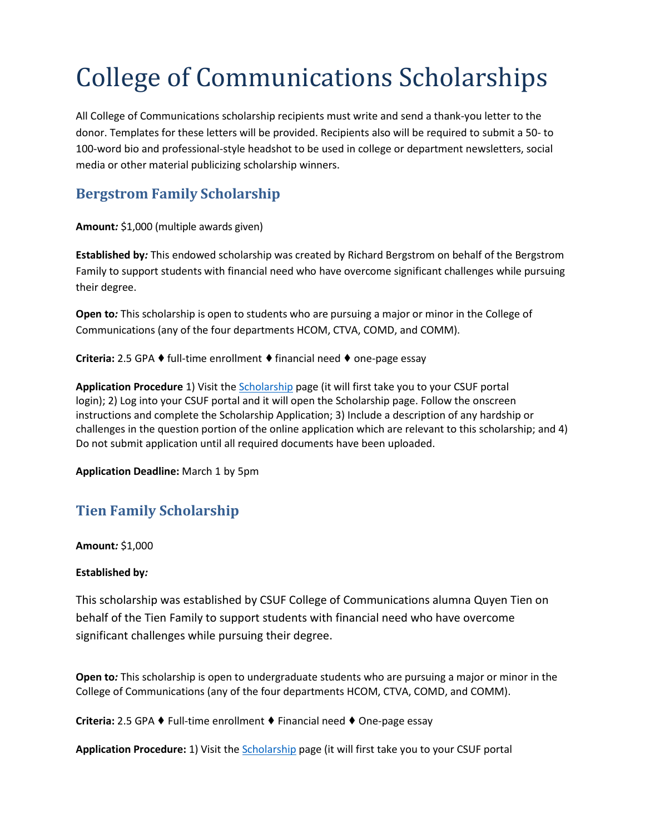# College of Communications Scholarships

All College of Communications scholarship recipients must write and send a thank-you letter to the donor. Templates for these letters will be provided. Recipients also will be required to submit a 50- to 100-word bio and professional-style headshot to be used in college or department newsletters, social media or other material publicizing scholarship winners.

# **Bergstrom Family Scholarship**

**Amount***:* \$1,000 (multiple awards given)

**Established by***:* This endowed scholarship was created by Richard Bergstrom on behalf of the Bergstrom Family to support students with financial need who have overcome significant challenges while pursuing their degree.

**Open to***:* This scholarship is open to students who are pursuing a major or minor in the College of Communications (any of the four departments HCOM, CTVA, COMD, and COMM).

**Criteria:** 2.5 GPA ♦ full-time enrollment ♦ financial need ♦ one-page essay

**Application Procedure** 1) Visit the [Scholarship](https://my.fullerton.edu/Portal/Scholarships/) page (it will first take you to your CSUF portal login); 2) Log into your CSUF portal and it will open the Scholarship page. Follow the onscreen instructions and complete the Scholarship Application; 3) Include a description of any hardship or challenges in the question portion of the online application which are relevant to this scholarship; and 4) Do not submit application until all required documents have been uploaded.

**Application Deadline:** March 1 by 5pm

# **Tien Family Scholarship**

**Amount***:* \$1,000

## **Established by***:*

This scholarship was established by CSUF College of Communications alumna Quyen Tien on behalf of the Tien Family to support students with financial need who have overcome significant challenges while pursuing their degree.

**Open to***:* This scholarship is open to undergraduate students who are pursuing a major or minor in the College of Communications (any of the four departments HCOM, CTVA, COMD, and COMM).

**Criteria:** 2.5 GPA ♦ Full-time enrollment ♦ Financial need ♦ One-page essay

**Application Procedure:** 1) Visit the [Scholarship](https://my.fullerton.edu/Portal/Scholarships/) page (it will first take you to your CSUF portal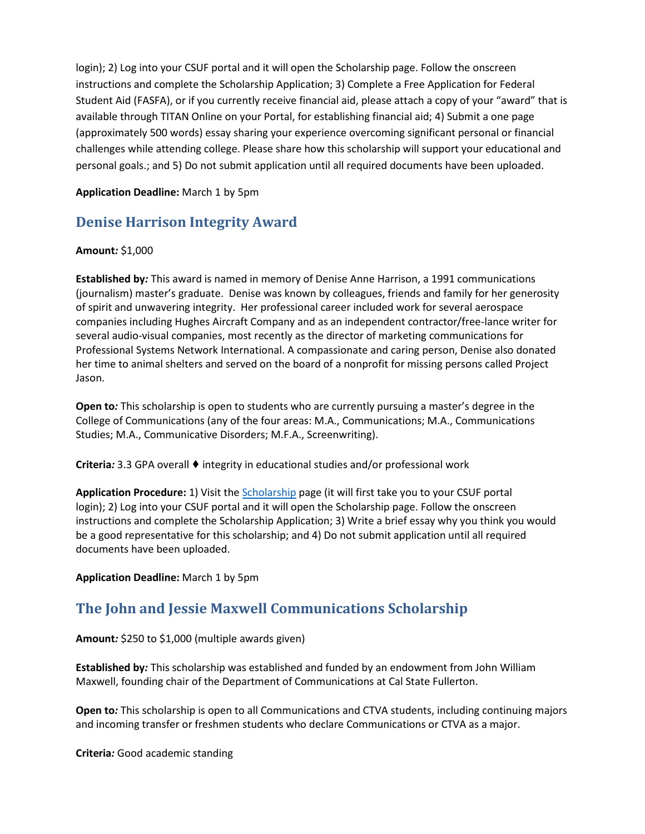login); 2) Log into your CSUF portal and it will open the Scholarship page. Follow the onscreen instructions and complete the Scholarship Application; 3) Complete a Free Application for Federal Student Aid (FASFA), or if you currently receive financial aid, please attach a copy of your "award" that is available through TITAN Online on your Portal, for establishing financial aid; 4) Submit a one page (approximately 500 words) essay sharing your experience overcoming significant personal or financial challenges while attending college. Please share how this scholarship will support your educational and personal goals.; and 5) Do not submit application until all required documents have been uploaded.

## **Application Deadline:** March 1 by 5pm

# **Denise Harrison Integrity Award**

## **Amount***:* \$1,000

**Established by***:* This award is named in memory of Denise Anne Harrison, a 1991 communications (journalism) master's graduate. Denise was known by colleagues, friends and family for her generosity of spirit and unwavering integrity. Her professional career included work for several aerospace companies including Hughes Aircraft Company and as an independent contractor/free-lance writer for several audio-visual companies, most recently as the director of marketing communications for Professional Systems Network International. A compassionate and caring person, Denise also donated her time to animal shelters and served on the board of a nonprofit for missing persons called Project Jason.

**Open to***:* This scholarship is open to students who are currently pursuing a master's degree in the College of Communications (any of the four areas: M.A., Communications; M.A., Communications Studies; M.A., Communicative Disorders; M.F.A., Screenwriting).

**Criteria***:* 3.3 GPA overall ♦ integrity in educational studies and/or professional work

**Application Procedure:** 1) Visit the [Scholarship](https://my.fullerton.edu/Portal/Scholarships/) page (it will first take you to your CSUF portal login); 2) Log into your CSUF portal and it will open the Scholarship page. Follow the onscreen instructions and complete the Scholarship Application; 3) Write a brief essay why you think you would be a good representative for this scholarship; and 4) Do not submit application until all required documents have been uploaded.

**Application Deadline:** March 1 by 5pm

# **The John and Jessie Maxwell Communications Scholarship**

**Amount***:* \$250 to \$1,000 (multiple awards given)

**Established by***:* This scholarship was established and funded by an endowment from John William Maxwell, founding chair of the Department of Communications at Cal State Fullerton.

**Open to***:* This scholarship is open to all Communications and CTVA students, including continuing majors and incoming transfer or freshmen students who declare Communications or CTVA as a major.

**Criteria***:* Good academic standing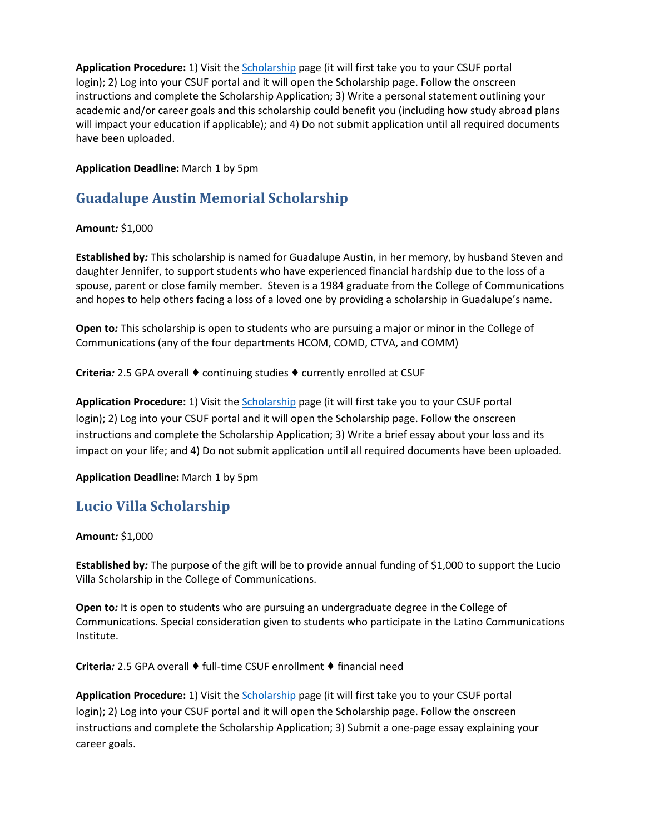**Application Procedure:** 1) Visit th[e Scholarship](https://my.fullerton.edu/Portal/Scholarships/) page (it will first take you to your CSUF portal login); 2) Log into your CSUF portal and it will open the Scholarship page. Follow the onscreen instructions and complete the Scholarship Application; 3) Write a personal statement outlining your academic and/or career goals and this scholarship could benefit you (including how study abroad plans will impact your education if applicable); and 4) Do not submit application until all required documents have been uploaded.

## **Application Deadline:** March 1 by 5pm

# **Guadalupe Austin Memorial Scholarship**

## **Amount***:* \$1,000

**Established by***:* This scholarship is named for Guadalupe Austin, in her memory, by husband Steven and daughter Jennifer, to support students who have experienced financial hardship due to the loss of a spouse, parent or close family member. Steven is a 1984 graduate from the College of Communications and hopes to help others facing a loss of a loved one by providing a scholarship in Guadalupe's name.

**Open to***:* This scholarship is open to students who are pursuing a major or minor in the College of Communications (any of the four departments HCOM, COMD, CTVA, and COMM)

**Criteria***:* 2.5 GPA overall ♦ continuing studies ♦ currently enrolled at CSUF

**Application Procedure:** 1) Visit th[e Scholarship](https://my.fullerton.edu/Portal/Scholarships/) page (it will first take you to your CSUF portal login); 2) Log into your CSUF portal and it will open the Scholarship page. Follow the onscreen instructions and complete the Scholarship Application; 3) Write a brief essay about your loss and its impact on your life; and 4) Do not submit application until all required documents have been uploaded.

## **Application Deadline:** March 1 by 5pm

## **Lucio Villa Scholarship**

## **Amount***:* \$1,000

**Established by***:* The purpose of the gift will be to provide annual funding of \$1,000 to support the Lucio Villa Scholarship in the College of Communications.

**Open to***:* It is open to students who are pursuing an undergraduate degree in the College of Communications. Special consideration given to students who participate in the Latino Communications Institute.

**Criteria***:* 2.5 GPA overall ♦ full-time CSUF enrollment ♦ financial need

**Application Procedure:** 1) Visit th[e Scholarship](https://my.fullerton.edu/Portal/Scholarships/) page (it will first take you to your CSUF portal login); 2) Log into your CSUF portal and it will open the Scholarship page. Follow the onscreen instructions and complete the Scholarship Application; 3) Submit a one-page essay explaining your career goals.